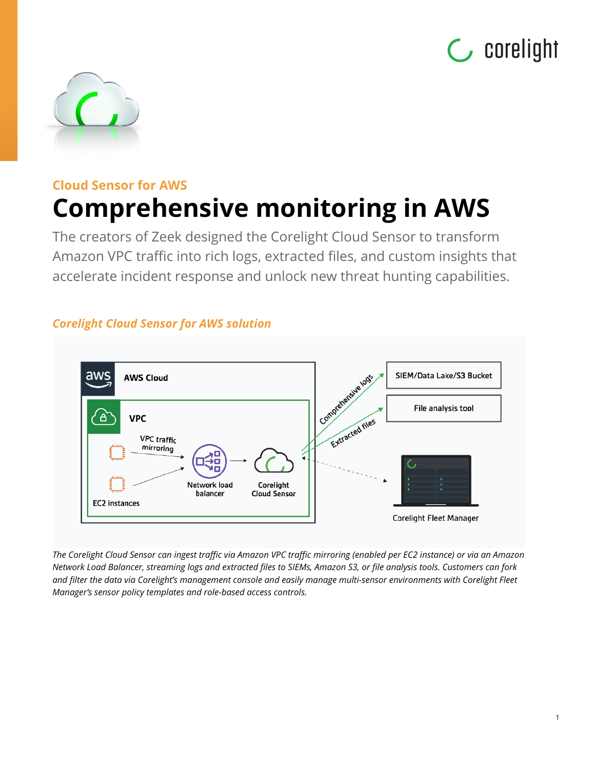

1



## **Cloud Sensor for AWS Comprehensive monitoring in AWS**

The creators of Zeek designed the Corelight Cloud Sensor to transform Amazon VPC traffic into rich logs, extracted files, and custom insights that accelerate incident response and unlock new threat hunting capabilities.

### *Corelight Cloud Sensor for AWS solution*



*The Corelight Cloud Sensor can ingest traffic via Amazon VPC traffic mirroring (enabled per EC2 instance) or via an Amazon Network Load Balancer, streaming logs and extracted files to SIEMs, Amazon S3, or file analysis tools. Customers can fork and filter the data via Corelight's management console and easily manage multi-sensor environments with Corelight Fleet Manager's sensor policy templates and role-based access controls.*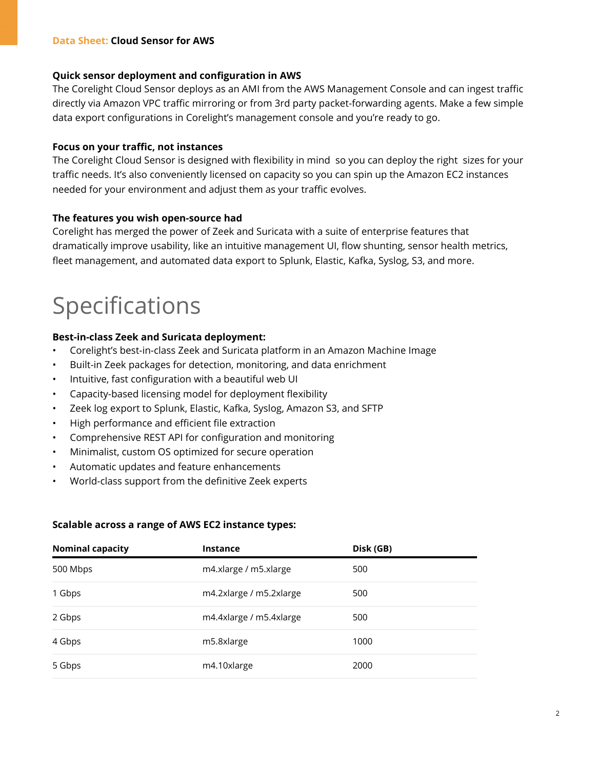#### **Data Sheet: Cloud Sensor for AWS**

#### **Quick sensor deployment and configuration in AWS**

The Corelight Cloud Sensor deploys as an AMI from the AWS Management Console and can ingest traffic directly via Amazon VPC traffic mirroring or from 3rd party packet-forwarding agents. Make a few simple data export configurations in Corelight's management console and you're ready to go.

#### **Focus on your traffic, not instances**

The Corelight Cloud Sensor is designed with flexibility in mind so you can deploy the right sizes for your traffic needs. It's also conveniently licensed on capacity so you can spin up the Amazon EC2 instances needed for your environment and adjust them as your traffic evolves.

#### **The features you wish open-source had**

Corelight has merged the power of Zeek and Suricata with a suite of enterprise features that dramatically improve usability, like an intuitive management UI, flow shunting, sensor health metrics, fleet management, and automated data export to Splunk, Elastic, Kafka, Syslog, S3, and more.

# Specifications

#### **Best-in-class Zeek and Suricata deployment:**

- Corelight's best-in-class Zeek and Suricata platform in an Amazon Machine Image
- Built-in Zeek packages for detection, monitoring, and data enrichment
- Intuitive, fast configuration with a beautiful web UI
- Capacity-based licensing model for deployment flexibility
- Zeek log export to Splunk, Elastic, Kafka, Syslog, Amazon S3, and SFTP
- High performance and efficient file extraction
- Comprehensive REST API for configuration and monitoring
- Minimalist, custom OS optimized for secure operation
- Automatic updates and feature enhancements
- World-class support from the definitive Zeek experts

#### **Scalable across a range of AWS EC2 instance types:**

| <b>Nominal capacity</b> | Instance                | Disk (GB) |
|-------------------------|-------------------------|-----------|
| 500 Mbps                | m4.xlarge / m5.xlarge   | 500       |
| 1 Gbps                  | m4.2xlarge / m5.2xlarge | 500       |
| 2 Gbps                  | m4.4xlarge / m5.4xlarge | 500       |
| 4 Gbps                  | m5.8xlarge              | 1000      |
| 5 Gbps                  | m4.10xlarge             | 2000      |